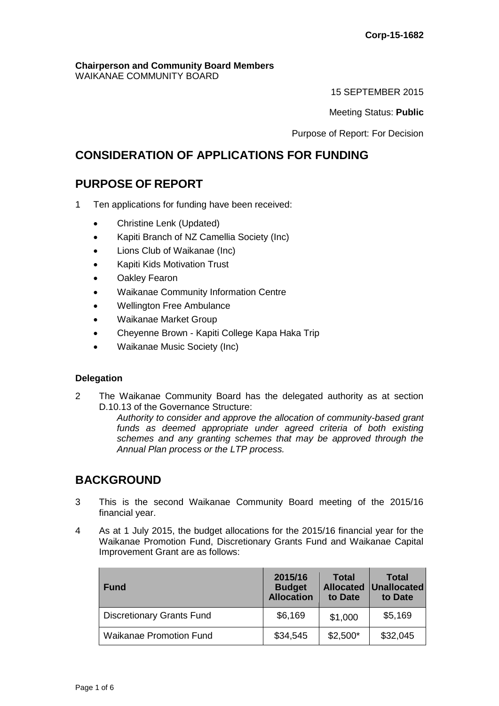#### **Chairperson and Community Board Members** WAIKANAE COMMUNITY BOARD

15 SEPTEMBER 2015

Meeting Status: **Public**

Purpose of Report: For Decision

# **CONSIDERATION OF APPLICATIONS FOR FUNDING**

# **PURPOSE OF REPORT**

- 1 Ten applications for funding have been received:
	- Christine Lenk (Updated)
	- Kapiti Branch of NZ Camellia Society (Inc)
	- Lions Club of Waikanae (Inc)
	- Kapiti Kids Motivation Trust
	- Oakley Fearon
	- Waikanae Community Information Centre
	- Wellington Free Ambulance
	- Waikanae Market Group
	- Cheyenne Brown Kapiti College Kapa Haka Trip
	- Waikanae Music Society (Inc)

## **Delegation**

2 The Waikanae Community Board has the delegated authority as at section D.10.13 of the Governance Structure:

*Authority to consider and approve the allocation of community-based grant funds as deemed appropriate under agreed criteria of both existing schemes and any granting schemes that may be approved through the Annual Plan process or the LTP process.* 

## **BACKGROUND**

- 3 This is the second Waikanae Community Board meeting of the 2015/16 financial year.
- 4 As at 1 July 2015, the budget allocations for the 2015/16 financial year for the Waikanae Promotion Fund, Discretionary Grants Fund and Waikanae Capital Improvement Grant are as follows:

| <b>Fund</b>                      | 2015/16<br><b>Budget</b><br><b>Allocation</b> | <b>Total</b><br>to Date | <b>Total</b><br><b>Allocated Unallocated</b><br>to Date |
|----------------------------------|-----------------------------------------------|-------------------------|---------------------------------------------------------|
| <b>Discretionary Grants Fund</b> | \$6,169                                       | \$1,000                 | \$5,169                                                 |
| <b>Waikanae Promotion Fund</b>   | \$34,545                                      | $$2,500*$               | \$32,045                                                |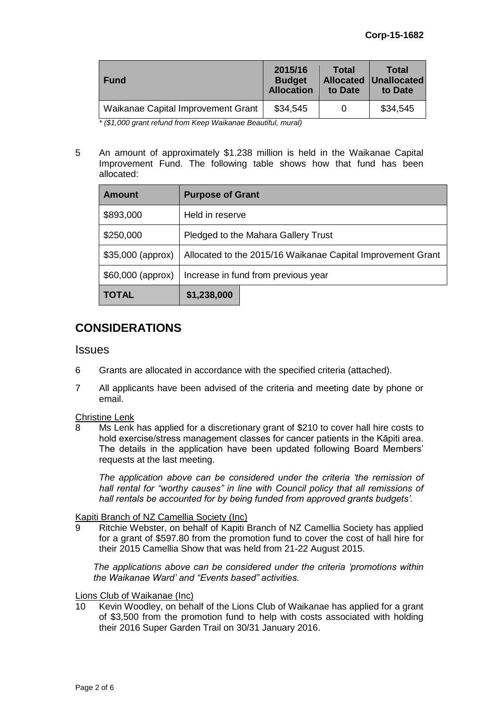| <b>Fund</b>                        | 2015/16<br><b>Budget</b><br><b>Allocation</b> | <b>Total</b><br>to Date | Total<br><b>Allocated Unallocated</b><br>to Date |
|------------------------------------|-----------------------------------------------|-------------------------|--------------------------------------------------|
| Waikanae Capital Improvement Grant | \$34,545                                      |                         | \$34,545                                         |

*\* (\$1,000 grant refund from Keep Waikanae Beautiful, mural)*

5 An amount of approximately \$1.238 million is held in the Waikanae Capital Improvement Fund. The following table shows how that fund has been allocated:

| <b>Amount</b>      | <b>Purpose of Grant</b>                                     |  |  |
|--------------------|-------------------------------------------------------------|--|--|
| \$893,000          | Held in reserve                                             |  |  |
| \$250,000          | Pledged to the Mahara Gallery Trust                         |  |  |
| $$35,000$ (approx) | Allocated to the 2015/16 Waikanae Capital Improvement Grant |  |  |
| \$60,000 (approx)  | Increase in fund from previous year                         |  |  |
| <b>TOTAL</b>       | \$1,238,000                                                 |  |  |

# **CONSIDERATIONS**

## Issues

- 6 Grants are allocated in accordance with the specified criteria (attached).
- 7 All applicants have been advised of the criteria and meeting date by phone or email.

## Christine Lenk

Ms Lenk has applied for a discretionary grant of \$210 to cover hall hire costs to hold exercise/stress management classes for cancer patients in the Kāpiti area. The details in the application have been updated following Board Members' requests at the last meeting.

*The application above can be considered under the criteria 'the remission of hall rental for "worthy causes" in line with Council policy that all remissions of hall rentals be accounted for by being funded from approved grants budgets'.*

## Kapiti Branch of NZ Camellia Society (Inc)

Ritchie Webster, on behalf of Kapiti Branch of NZ Camellia Society has applied for a grant of \$597.80 from the promotion fund to cover the cost of hall hire for their 2015 Camellia Show that was held from 21-22 August 2015.

*The applications above can be considered under the criteria 'promotions within the Waikanae Ward' and "Events based" activities.*

## Lions Club of Waikanae (Inc)

10 Kevin Woodley, on behalf of the Lions Club of Waikanae has applied for a grant of \$3,500 from the promotion fund to help with costs associated with holding their 2016 Super Garden Trail on 30/31 January 2016.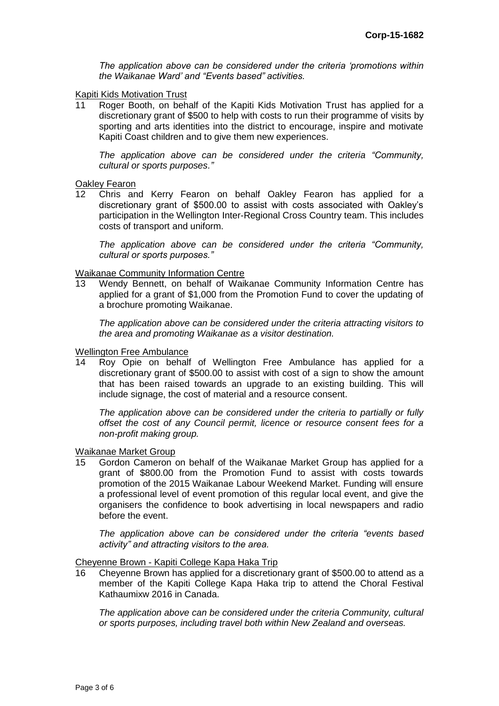*The application above can be considered under the criteria 'promotions within the Waikanae Ward' and "Events based" activities.*

# **Kapiti Kids Motivation Trust**<br>11 Roger Booth, on beh

Roger Booth, on behalf of the Kapiti Kids Motivation Trust has applied for a discretionary grant of \$500 to help with costs to run their programme of visits by sporting and arts identities into the district to encourage, inspire and motivate Kapiti Coast children and to give them new experiences.

*The application above can be considered under the criteria "Community, cultural or sports purposes."*

#### **Oakley Fearon**

12 Chris and Kerry Fearon on behalf Oakley Fearon has applied for a discretionary grant of \$500.00 to assist with costs associated with Oakley's participation in the Wellington Inter-Regional Cross Country team. This includes costs of transport and uniform.

*The application above can be considered under the criteria "Community, cultural or sports purposes."*

#### Waikanae Community Information Centre

13 Wendy Bennett, on behalf of Waikanae Community Information Centre has applied for a grant of \$1,000 from the Promotion Fund to cover the updating of a brochure promoting Waikanae.

*The application above can be considered under the criteria attracting visitors to the area and promoting Waikanae as a visitor destination.*

#### Wellington Free Ambulance

14 Roy Opie on behalf of Wellington Free Ambulance has applied for a discretionary grant of \$500.00 to assist with cost of a sign to show the amount that has been raised towards an upgrade to an existing building. This will include signage, the cost of material and a resource consent.

*The application above can be considered under the criteria to partially or fully offset the cost of any Council permit, licence or resource consent fees for a non-profit making group.*

#### Waikanae Market Group

15 Gordon Cameron on behalf of the Waikanae Market Group has applied for a grant of \$800.00 from the Promotion Fund to assist with costs towards promotion of the 2015 Waikanae Labour Weekend Market. Funding will ensure a professional level of event promotion of this regular local event, and give the organisers the confidence to book advertising in local newspapers and radio before the event.

*The application above can be considered under the criteria "events based activity" and attracting visitors to the area.*

#### Cheyenne Brown - Kapiti College Kapa Haka Trip

16 Cheyenne Brown has applied for a discretionary grant of \$500.00 to attend as a member of the Kapiti College Kapa Haka trip to attend the Choral Festival Kathaumixw 2016 in Canada.

*The application above can be considered under the criteria Community, cultural or sports purposes, including travel both within New Zealand and overseas.*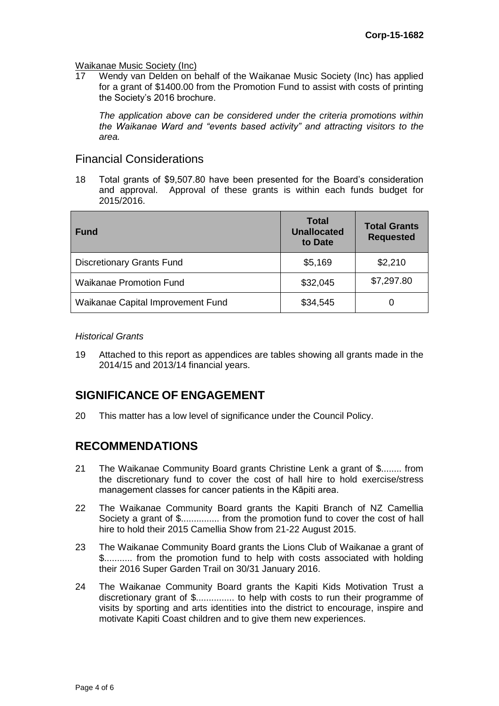# Waikanae Music Society (Inc)<br>17 Wendy van Delden on b

17 Wendy van Delden on behalf of the Waikanae Music Society (Inc) has applied for a grant of \$1400.00 from the Promotion Fund to assist with costs of printing the Society's 2016 brochure.

*The application above can be considered under the criteria promotions within the Waikanae Ward and "events based activity" and attracting visitors to the area.*

## Financial Considerations

18 Total grants of \$9,507.80 have been presented for the Board's consideration and approval. Approval of these grants is within each funds budget for 2015/2016.

| Fund                              | <b>Total</b><br><b>Unallocated</b><br>to Date | <b>Total Grants</b><br><b>Requested</b> |
|-----------------------------------|-----------------------------------------------|-----------------------------------------|
| <b>Discretionary Grants Fund</b>  | \$5,169                                       | \$2,210                                 |
| <b>Waikanae Promotion Fund</b>    | \$32,045                                      | \$7,297.80                              |
| Waikanae Capital Improvement Fund | \$34,545                                      | $\Omega$                                |

#### *Historical Grants*

19 Attached to this report as appendices are tables showing all grants made in the 2014/15 and 2013/14 financial years.

# **SIGNIFICANCE OF ENGAGEMENT**

20 This matter has a low level of significance under the Council Policy.

## **RECOMMENDATIONS**

- 21 The Waikanae Community Board grants Christine Lenk a grant of \$........ from the discretionary fund to cover the cost of hall hire to hold exercise/stress management classes for cancer patients in the Kāpiti area.
- 22 The Waikanae Community Board grants the Kapiti Branch of NZ Camellia Society a grant of \$............... from the promotion fund to cover the cost of hall hire to hold their 2015 Camellia Show from 21-22 August 2015.
- 23 The Waikanae Community Board grants the Lions Club of Waikanae a grant of \$........... from the promotion fund to help with costs associated with holding their 2016 Super Garden Trail on 30/31 January 2016.
- 24 The Waikanae Community Board grants the Kapiti Kids Motivation Trust a discretionary grant of \$............... to help with costs to run their programme of visits by sporting and arts identities into the district to encourage, inspire and motivate Kapiti Coast children and to give them new experiences.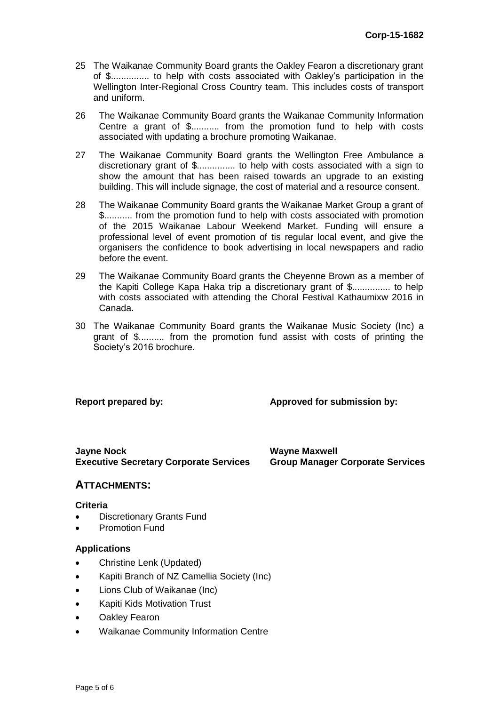- 25 The Waikanae Community Board grants the Oakley Fearon a discretionary grant of \$............... to help with costs associated with Oakley's participation in the Wellington Inter-Regional Cross Country team. This includes costs of transport and uniform.
- 26 The Waikanae Community Board grants the Waikanae Community Information Centre a grant of \$........... from the promotion fund to help with costs associated with updating a brochure promoting Waikanae.
- 27 The Waikanae Community Board grants the Wellington Free Ambulance a discretionary grant of \$............... to help with costs associated with a sign to show the amount that has been raised towards an upgrade to an existing building. This will include signage, the cost of material and a resource consent.
- 28 The Waikanae Community Board grants the Waikanae Market Group a grant of \$........... from the promotion fund to help with costs associated with promotion of the 2015 Waikanae Labour Weekend Market. Funding will ensure a professional level of event promotion of tis regular local event, and give the organisers the confidence to book advertising in local newspapers and radio before the event.
- 29 The Waikanae Community Board grants the Cheyenne Brown as a member of the Kapiti College Kapa Haka trip a discretionary grant of \$............... to help with costs associated with attending the Choral Festival Kathaumixw 2016 in Canada.
- 30 The Waikanae Community Board grants the Waikanae Music Society (Inc) a grant of \$.......... from the promotion fund assist with costs of printing the Society's 2016 brochure.

## **Report prepared by: Approved for submission by:**

**Jayne Nock Wayne Maxwell Executive Secretary Corporate Services Group Manager Corporate Services**

## **ATTACHMENTS:**

#### **Criteria**

- Discretionary Grants Fund
- Promotion Fund

## **Applications**

- Christine Lenk (Updated)
- Kapiti Branch of NZ Camellia Society (Inc)
- Lions Club of Waikanae (Inc)
- Kapiti Kids Motivation Trust
- Oakley Fearon
- Waikanae Community Information Centre